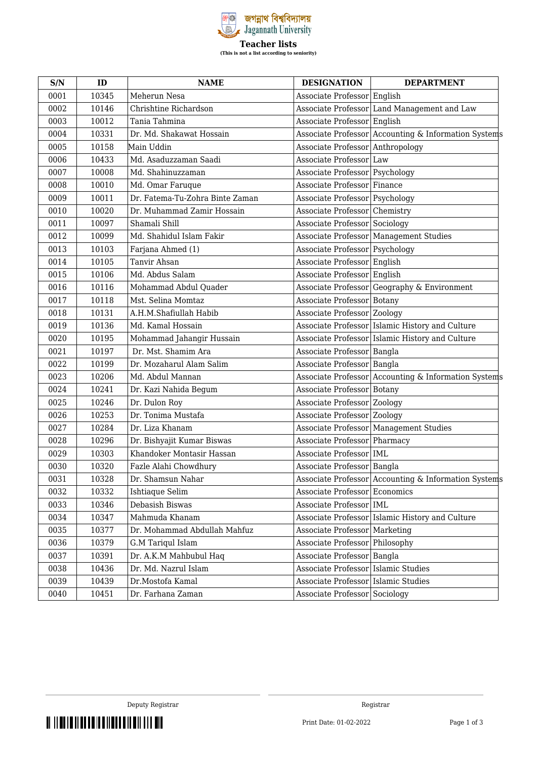

| S/N  | ID    | <b>NAME</b>                     | <b>DESIGNATION</b>                  | <b>DEPARTMENT</b>                                    |
|------|-------|---------------------------------|-------------------------------------|------------------------------------------------------|
| 0001 | 10345 | Meherun Nesa                    | Associate Professor English         |                                                      |
| 0002 | 10146 | Chrishtine Richardson           |                                     | Associate Professor Land Management and Law          |
| 0003 | 10012 | Tania Tahmina                   | Associate Professor English         |                                                      |
| 0004 | 10331 | Dr. Md. Shakawat Hossain        |                                     | Associate Professor Accounting & Information Systems |
| 0005 | 10158 | Main Uddin                      | Associate Professor Anthropology    |                                                      |
| 0006 | 10433 | Md. Asaduzzaman Saadi           | Associate Professor Law             |                                                      |
| 0007 | 10008 | Md. Shahinuzzaman               | Associate Professor Psychology      |                                                      |
| 0008 | 10010 | Md. Omar Faruque                | Associate Professor Finance         |                                                      |
| 0009 | 10011 | Dr. Fatema-Tu-Zohra Binte Zaman | Associate Professor   Psychology    |                                                      |
| 0010 | 10020 | Dr. Muhammad Zamir Hossain      | Associate Professor Chemistry       |                                                      |
| 0011 | 10097 | Shamali Shill                   | Associate Professor Sociology       |                                                      |
| 0012 | 10099 | Md. Shahidul Islam Fakir        |                                     | Associate Professor Management Studies               |
| 0013 | 10103 | Farjana Ahmed (1)               | Associate Professor Psychology      |                                                      |
| 0014 | 10105 | Tanvir Ahsan                    | Associate Professor English         |                                                      |
| 0015 | 10106 | Md. Abdus Salam                 | Associate Professor English         |                                                      |
| 0016 | 10116 | Mohammad Abdul Quader           |                                     | Associate Professor Geography & Environment          |
| 0017 | 10118 | Mst. Selina Momtaz              | Associate Professor Botany          |                                                      |
| 0018 | 10131 | A.H.M.Shafiullah Habib          | Associate Professor Zoology         |                                                      |
| 0019 | 10136 | Md. Kamal Hossain               |                                     | Associate Professor Islamic History and Culture      |
| 0020 | 10195 | Mohammad Jahangir Hussain       |                                     | Associate Professor Islamic History and Culture      |
| 0021 | 10197 | Dr. Mst. Shamim Ara             | Associate Professor Bangla          |                                                      |
| 0022 | 10199 | Dr. Mozaharul Alam Salim        | Associate Professor Bangla          |                                                      |
| 0023 | 10206 | Md. Abdul Mannan                |                                     | Associate Professor Accounting & Information Systems |
| 0024 | 10241 | Dr. Kazi Nahida Begum           | Associate Professor Botany          |                                                      |
| 0025 | 10246 | Dr. Dulon Roy                   | Associate Professor Zoology         |                                                      |
| 0026 | 10253 | Dr. Tonima Mustafa              | Associate Professor Zoology         |                                                      |
| 0027 | 10284 | Dr. Liza Khanam                 |                                     | Associate Professor Management Studies               |
| 0028 | 10296 | Dr. Bishyajit Kumar Biswas      | Associate Professor Pharmacy        |                                                      |
| 0029 | 10303 | Khandoker Montasir Hassan       | Associate Professor IML             |                                                      |
| 0030 | 10320 | Fazle Alahi Chowdhury           | Associate Professor Bangla          |                                                      |
| 0031 | 10328 | Dr. Shamsun Nahar               |                                     | Associate Professor Accounting & Information Systems |
| 0032 | 10332 | Ishtiaque Selim                 | Associate Professor Economics       |                                                      |
| 0033 | 10346 | Debasish Biswas                 | Associate Professor   IML           |                                                      |
| 0034 | 10347 | Mahmuda Khanam                  |                                     | Associate Professor   Islamic History and Culture    |
| 0035 | 10377 | Dr. Mohammad Abdullah Mahfuz    | Associate Professor Marketing       |                                                      |
| 0036 | 10379 | G.M Tariqul Islam               | Associate Professor Philosophy      |                                                      |
| 0037 | 10391 | Dr. A.K.M Mahbubul Haq          | Associate Professor                 | Bangla                                               |
| 0038 | 10436 | Dr. Md. Nazrul Islam            | Associate Professor Islamic Studies |                                                      |
| 0039 | 10439 | Dr.Mostofa Kamal                | Associate Professor Islamic Studies |                                                      |
| 0040 | 10451 | Dr. Farhana Zaman               | Associate Professor Sociology       |                                                      |

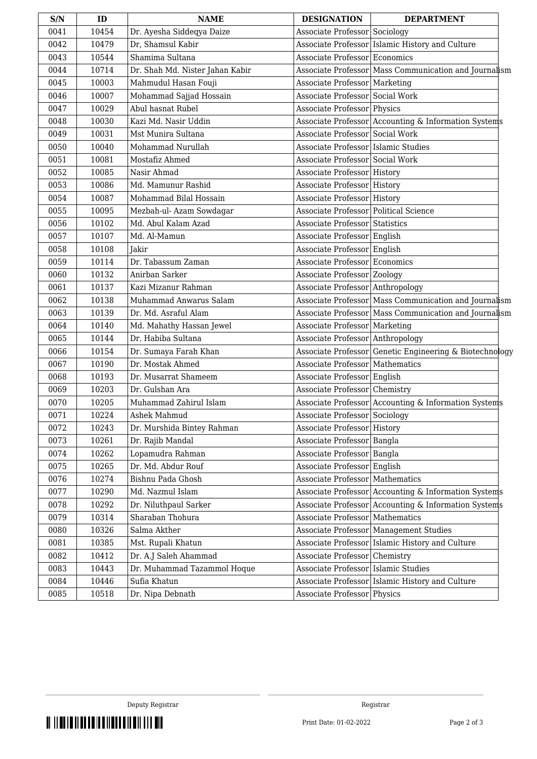| S/N  | ID    | <b>NAME</b>                     | <b>DESIGNATION</b>                    | <b>DEPARTMENT</b>                                       |
|------|-------|---------------------------------|---------------------------------------|---------------------------------------------------------|
| 0041 | 10454 | Dr. Ayesha Siddeqya Daize       | Associate Professor Sociology         |                                                         |
| 0042 | 10479 | Dr, Shamsul Kabir               |                                       | Associate Professor Islamic History and Culture         |
| 0043 | 10544 | Shamima Sultana                 | Associate Professor Economics         |                                                         |
| 0044 | 10714 | Dr. Shah Md. Nister Jahan Kabir |                                       | Associate Professor Mass Communication and Journalism   |
| 0045 | 10003 | Mahmudul Hasan Fouji            | Associate Professor Marketing         |                                                         |
| 0046 | 10007 | Mohammad Sajjad Hossain         | Associate Professor Social Work       |                                                         |
| 0047 | 10029 | Abul hasnat Rubel               | Associate Professor Physics           |                                                         |
| 0048 | 10030 | Kazi Md. Nasir Uddin            |                                       | Associate Professor Accounting & Information Systems    |
| 0049 | 10031 | Mst Munira Sultana              | Associate Professor Social Work       |                                                         |
| 0050 | 10040 | Mohammad Nurullah               | Associate Professor Islamic Studies   |                                                         |
| 0051 | 10081 | Mostafiz Ahmed                  | Associate Professor Social Work       |                                                         |
| 0052 | 10085 | Nasir Ahmad                     | Associate Professor History           |                                                         |
| 0053 | 10086 | Md. Mamunur Rashid              | Associate Professor History           |                                                         |
| 0054 | 10087 | Mohammad Bilal Hossain          | Associate Professor History           |                                                         |
| 0055 | 10095 | Mezbah-ul- Azam Sowdagar        | Associate Professor Political Science |                                                         |
| 0056 | 10102 | Md. Abul Kalam Azad             | <b>Associate Professor</b> Statistics |                                                         |
| 0057 | 10107 | Md. Al-Mamun                    | Associate Professor English           |                                                         |
| 0058 | 10108 | Jakir                           | Associate Professor English           |                                                         |
| 0059 | 10114 | Dr. Tabassum Zaman              | Associate Professor Economics         |                                                         |
| 0060 | 10132 | Anirban Sarker                  | Associate Professor Zoology           |                                                         |
| 0061 | 10137 | Kazi Mizanur Rahman             | Associate Professor Anthropology      |                                                         |
| 0062 | 10138 | Muhammad Anwarus Salam          |                                       | Associate Professor Mass Communication and Journalism   |
| 0063 | 10139 | Dr. Md. Asraful Alam            |                                       | Associate Professor Mass Communication and Journalism   |
| 0064 | 10140 | Md. Mahathy Hassan Jewel        | Associate Professor Marketing         |                                                         |
| 0065 | 10144 | Dr. Habiba Sultana              | Associate Professor Anthropology      |                                                         |
| 0066 | 10154 | Dr. Sumaya Farah Khan           |                                       | Associate Professor Genetic Engineering & Biotechnology |
| 0067 | 10190 | Dr. Mostak Ahmed                | Associate Professor Mathematics       |                                                         |
| 0068 | 10193 | Dr. Musarrat Shameem            | Associate Professor English           |                                                         |
| 0069 | 10203 | Dr. Gulshan Ara                 | Associate Professor Chemistry         |                                                         |
| 0070 | 10205 | Muhammad Zahirul Islam          |                                       | Associate Professor Accounting & Information Systems    |
| 0071 | 10224 | Ashek Mahmud                    | Associate Professor Sociology         |                                                         |
| 0072 | 10243 | Dr. Murshida Bintey Rahman      | Associate Professor History           |                                                         |
| 0073 | 10261 | Dr. Rajib Mandal                | Associate Professor Bangla            |                                                         |
| 0074 | 10262 | Lopamudra Rahman                | Associate Professor Bangla            |                                                         |
| 0075 | 10265 | Dr. Md. Abdur Rouf              | Associate Professor English           |                                                         |
| 0076 | 10274 | Bishnu Pada Ghosh               | Associate Professor   Mathematics     |                                                         |
| 0077 | 10290 | Md. Nazmul Islam                |                                       | Associate Professor Accounting & Information Systems    |
| 0078 | 10292 | Dr. Niluthpaul Sarker           |                                       | Associate Professor Accounting & Information Systems    |
| 0079 | 10314 | Sharaban Thohura                | Associate Professor Mathematics       |                                                         |
| 0080 | 10326 | Salma Akther                    |                                       | Associate Professor   Management Studies                |
| 0081 | 10385 | Mst. Rupali Khatun              |                                       | Associate Professor Islamic History and Culture         |
| 0082 | 10412 | Dr. A.J Saleh Ahammad           | Associate Professor Chemistry         |                                                         |
| 0083 | 10443 | Dr. Muhammad Tazammol Hoque     | Associate Professor Islamic Studies   |                                                         |
| 0084 | 10446 | Sufia Khatun                    |                                       | Associate Professor Islamic History and Culture         |
| 0085 | 10518 | Dr. Nipa Debnath                | Associate Professor Physics           |                                                         |

THE THE REPORT OF THE REPORT OF THE THE RESERVE AND THE RESERVE AND THE RESERVE AND RESERVE AND RESERVE AND RE